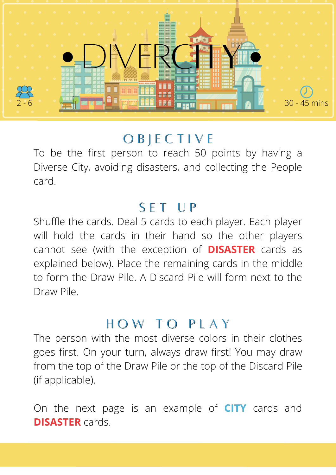

### O B J E C T I V E

To be the first person to reach 50 points by having a Diverse City, avoiding disasters, and collecting the People card.

#### SET UP

Shuffle the cards. Deal 5 cards to each player. Each player will hold the cards in their hand so the other players cannot see (with the exception of **DISASTER** cards as explained below). Place the remaining cards in the middle to form the Draw Pile. A Discard Pile will form next to the Draw Pile.

#### HOW TO PLAY

The person with the most diverse colors in their clothes goes first. On your turn, always draw first! You may draw from the top of the Draw Pile or the top of the Discard Pile (if applicable).

On the next page is an example of **CITY** cards and **DISASTER** cards.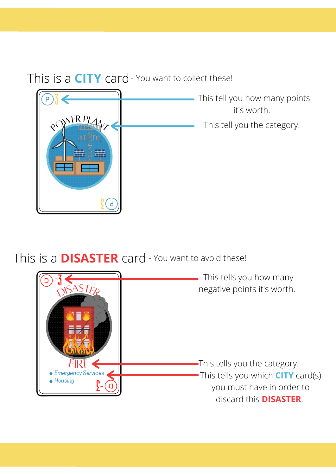This is a **CITY** card - You want to collect these!



This is a **DISASTER** card - You want to avoid these!

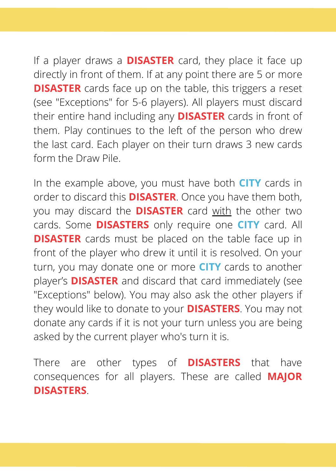If a player draws a **DISASTER** card, they place it face up directly in front of them. If at any point there are 5 or more **DISASTER** cards face up on the table, this triggers a reset (see "Exceptions" for 5-6 players). All players must discard their entire hand including any **DISASTER** cards in front of them. Play continues to the left of the person who drew the last card. Each player on their turn draws 3 new cards form the Draw Pile.

In the example above, you must have both **CITY** cards in order to discard this **DISASTER**. Once you have them both, you may discard the **DISASTER** card with the other two cards. Some **DISASTERS** only require one **CITY** card. All **DISASTER** cards must be placed on the table face up in front of the player who drew it until it is resolved. On your turn, you may donate one or more **CITY** cards to another player's **DISASTER** and discard that card immediately (see "Exceptions" below). You may also ask the other players if they would like to donate to your **DISASTERS**. You may not donate any cards if it is not your turn unless you are being asked by the current player who's turn it is.

There are other types of **DISASTERS** that have consequences for all players. These are called **MAJOR DISASTERS**.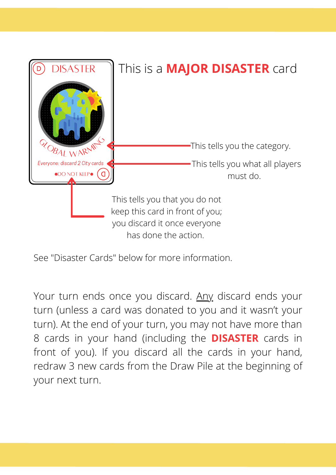

See "Disaster Cards" below for more information.

Your turn ends once you discard. Any discard ends your turn (unless a card was donated to you and it wasn't your turn). At the end of your turn, you may not have more than 8 cards in your hand (including the **DISASTER** cards in front of you). If you discard all the cards in your hand, redraw 3 new cards from the Draw Pile at the beginning of your next turn.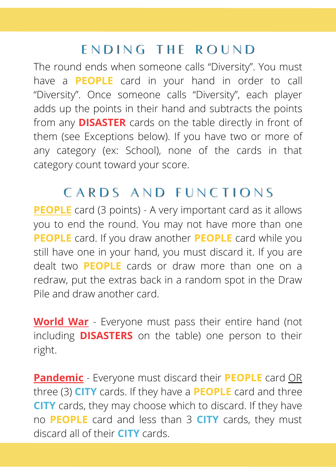## ENDING THE ROUND

The round ends when someone calls "Diversity". You must have a **PEOPLE** card in your hand in order to call "Diversity". Once someone calls "Diversity", each player adds up the points in their hand and subtracts the points from any **DISASTER** cards on the table directly in front of them (see Exceptions below). If you have two or more of any category (ex: School), none of the cards in that category count toward your score.

# CARDS AND FUNCTIONS

**PEOPLE** card (3 points) - A very important card as it allows you to end the round. You may not have more than one **PEOPLE** card. If you draw another **PEOPLE** card while you still have one in your hand, you must discard it. If you are dealt two **PEOPLE** cards or draw more than one on a redraw, put the extras back in a random spot in the Draw Pile and draw another card.

**World War** - Everyone must pass their entire hand (not including **DISASTERS** on the table) one person to their right.

**Pandemic** - Everyone must discard their **PEOPLE** card OR three (3) **CITY** cards. If they have a **PEOPLE** card and three **CITY** cards, they may choose which to discard. If they have no **PEOPLE** card and less than 3 **CITY** cards, they must discard all of their **CITY** cards.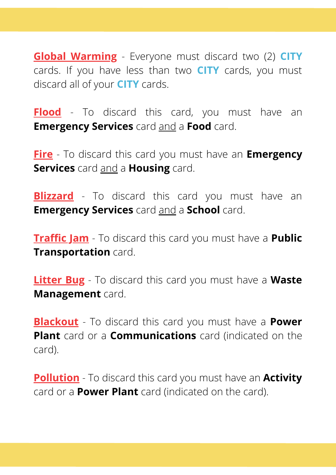**Global Warming** - Everyone must discard two (2) **CITY** cards. If you have less than two **CITY** cards, you must discard all of your **CITY** cards.

**Flood** - To discard this card, you must have an **Emergency Services** card and a **Food** card.

**Fire** - To discard this card you must have an **Emergency Services** card and a **Housing** card.

**Blizzard** - To discard this card you must have an **Emergency Services** card and a **School** card.

**Traffic Jam** - To discard this card you must have a **Public Transportation** card.

**Litter Bug** - To discard this card you must have a **Waste Management** card.

**Blackout** - To discard this card you must have a **Power Plant** card or a **Communications** card (indicated on the card).

**Pollution** - To discard this card you must have an **Activity** card or a **Power Plant** card (indicated on the card).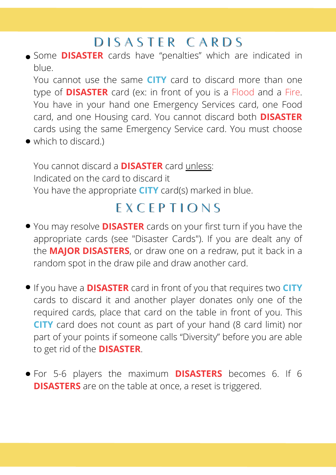## D I S A S T E R C A R D S

Some **DISASTER** cards have "penalties" which are indicated in blue.

You cannot use the same **CITY** card to discard more than one type of **DISASTER** card (ex: in front of you is a Flood and a Fire. You have in your hand one Emergency Services card, one Food card, and one Housing card. You cannot discard both **DISASTER** cards using the same Emergency Service card. You must choose

• which to discard.)

You cannot discard a **DISASTER** card unless: Indicated on the card to discard it You have the appropriate **CITY** card(s) marked in blue.

### E X C E P T I O N S

- You may resolve **DISASTER** cards on your first turn if you have the appropriate cards (see "Disaster Cards"). If you are dealt any of the **MAJOR DISASTERS**, or draw one on a redraw, put it back in a random spot in the draw pile and draw another card.
- If you have a **DISASTER** card in front of you that requires two **CITY** cards to discard it and another player donates only one of the required cards, place that card on the table in front of you. This **CITY** card does not count as part of your hand (8 card limit) nor part of your points if someone calls "Diversity" before you are able to get rid of the **DISASTER**.
- For 5-6 players the maximum **DISASTERS** becomes 6. If 6 **DISASTERS** are on the table at once, a reset is triggered.